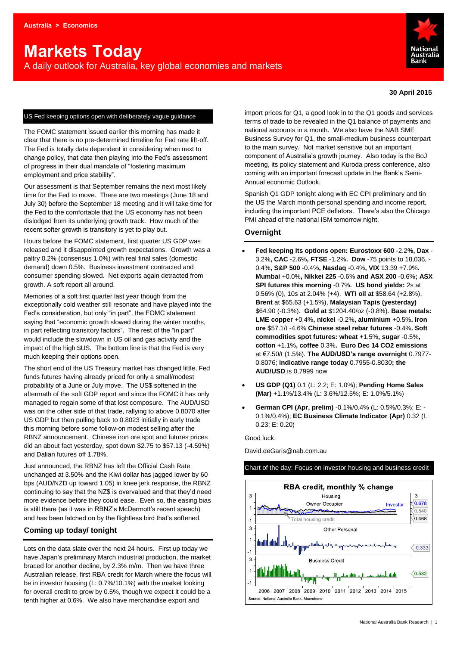# **Markets Today**

A daily outlook for Australia, key global economies and markets



#### **30 April 2015**

#### US Fed keeping options open with deliberately vague guidance

The FOMC statement issued earlier this morning has made it clear that there is no pre-determined timeline for Fed rate lift-off. The Fed is totally data dependent in considering when next to change policy, that data then playing into the Fed's assessment of progress in their dual mandate of "fostering maximum employment and price stability".

Our assessment is that September remains the next most likely time for the Fed to move. There are two meetings (June 18 and July 30) before the September 18 meeting and it will take time for the Fed to the comfortable that the US economy has not been dislodged from its underlying growth track. How much of the recent softer growth is transitory is yet to play out.

Hours before the FOMC statement, first quarter US GDP was released and it disappointed growth expectations. Growth was a paltry 0.2% (consensus 1.0%) with real final sales (domestic demand) down 0.5%. Business investment contracted and consumer spending slowed. Net exports again detracted from growth. A soft report all around.

Memories of a soft first quarter last year though from the exceptionally cold weather still resonate and have played into the Fed's consideration, but only "in part", the FOMC statement saying that "economic growth slowed during the winter months, in part reflecting transitory factors". The rest of the "in part" would include the slowdown in US oil and gas activity and the impact of the high \$US. The bottom line is that the Fed is very much keeping their options open.

The short end of the US Treasury market has changed little, Fed funds futures having already priced for only a small/modest probability of a June or July move. The US\$ softened in the aftermath of the soft GDP report and since the FOMC it has only managed to regain some of that lost composure. The AUD/USD was on the other side of that trade, rallying to above 0.8070 after US GDP but then pulling back to 0.8023 initially in early trade this morning before some follow-on modest selling after the RBNZ announcement. Chinese iron ore spot and futures prices did an about fact yesterday, spot down \$2.75 to \$57.13 (-4.59%) and Dalian futures off 1.78%.

Just announced, the RBNZ has left the Official Cash Rate unchanged at 3.50% and the Kiwi dollar has jagged lower by 60 bps (AUD/NZD up toward 1.05) in knee jerk response, the RBNZ continuing to say that the NZ\$ is overvalued and that they'd need more evidence before they could ease. Even so, the easing bias is still there (as it was in RBNZ's McDermott's recent speech) and has been latched on by the flightless bird that's softened.

#### **Coming up today/ tonight**

Lots on the data slate over the next 24 hours. First up today we have Japan's preliminary March industrial production, the market braced for another decline, by 2.3% m/m. Then we have three Australian release, first RBA credit for March where the focus will be in investor housing (L: 0.7%/10.1%) with the market looking for overall credit to grow by 0.5%, though we expect it could be a tenth higher at 0.6%. We also have merchandise export and

import prices for Q1, a good look in to the Q1 goods and services terms of trade to be revealed in the Q1 balance of payments and national accounts in a month. We also have the NAB SME Business Survey for Q1, the small-medium business counterpart to the main survey. Not market sensitive but an important component of Australia's growth journey. Also today is the BoJ meeting, its policy statement and Kuroda press conference, also coming with an important forecast update in the Bank's Semi-Annual economic Outlook.

Spanish Q1 GDP tonight along with EC CPI preliminary and tin the US the March month personal spending and income report, including the important PCE deflators. There's also the Chicago PMI ahead of the national ISM tomorrow night.

#### **Overnight**

- **Fed keeping its options open: Eurostoxx 600** -2.2**%, Dax**  3.2%**, CAC** -2.6%**, FTSE** -1.2%**. Dow** -75 points to 18,036, - 0.4%**, S&P 500** -0.4%**, Nasdaq** -0.4%**, VIX** 13.39 +7.9%**. Mumbai** +0.0%**, Nikkei 225** -0.6% **and ASX 200** -0.6%**; ASX SPI futures this morning** -0.7%**. US bond yields:** 2s at 0.56% (0), 10s at 2.04% (+4). **WTI oil at** \$58.64 (+2.8%), **Brent** at \$65.63 (+1.5%), **Malaysian Tapis (yesterday)**  \$64.90 (-0.3%). **Gold at** \$1204.40/oz (-0.8%). **Base metals: LME copper** +0.4%**, nickel** -0.2%**, aluminium** +0.5%**. Iron ore** \$57.1/t -4.6% **Chinese steel rebar futures** -0.4%**. Soft commodities spot futures: wheat** +1.5%**, sugar** -0.5%**, cotton** +1.1%**, coffee** 0.3%**. Euro Dec 14 CO2 emissions**  at €7.50/t (1.5%). **The AUD/USD's range overnight** 0.7977- 0.8076; **indicative range today** 0.7955-0.8030**; the AUD/USD** is 0.7999 now
- **US GDP (Q1)** 0.1 (L: 2.2; E: 1.0%); **Pending Home Sales (Mar)** +1.1%/13.4% (L: 3.6%/12.5%; E: 1.0%/5.1%)
- **German CPI (Apr, prelim)** -0.1%/0.4% (L: 0.5%/0.3%; E: 0.1%/0.4%); **EC Business Climate Indicator (Apr)** 0.32 (L: 0.23; E: 0.20)

Good luck.

David.deGaris@nab.com.au



#### Chart of the day: Focus on investor housing and business credit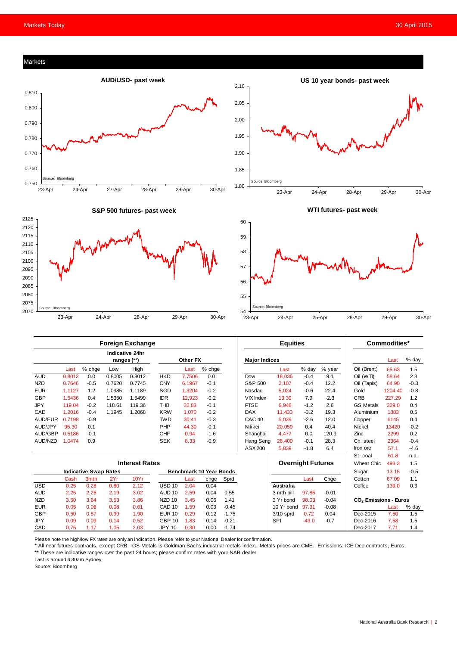#### Markets







**WTI futures- past week** 



| <b>Foreign Exchange</b>      |        |                  |        |                                       |                   |                                |        | <b>Equities</b> |                          |             |         | Commodities* |                                   |         |        |
|------------------------------|--------|------------------|--------|---------------------------------------|-------------------|--------------------------------|--------|-----------------|--------------------------|-------------|---------|--------------|-----------------------------------|---------|--------|
|                              |        |                  |        | <b>Indicative 24hr</b><br>ranges (**) |                   | Other FX                       |        |                 | <b>Major Indices</b>     |             |         |              |                                   | Last    | % day  |
|                              | Last   | % chge           | Low    | High                                  |                   | Last                           | % chge |                 |                          | Last        | % day   | % year       | Oil (Brent)                       | 65.63   | 1.5    |
| <b>AUD</b>                   | 0.8012 | 0.0              | 0.8005 | 0.8012                                | <b>HKD</b>        | 7.7506                         | 0.0    |                 | Dow                      | 18,036      | $-0.4$  | 9.1          | Oil (WTI)                         | 58.64   | 2.8    |
| <b>NZD</b>                   | 0.7646 | $-0.5$           | 0.7620 | 0.7745                                | <b>CNY</b>        | 6.1967                         | $-0.1$ |                 | S&P 500                  | 2,107       | $-0.4$  | 12.2         | Oil (Tapis)                       | 64.90   | $-0.3$ |
| <b>EUR</b>                   | 1.1127 | 1.2              | 1.0985 | 1.1189                                | SGD               | 1.3204                         | $-0.2$ |                 | Nasdag                   | 5,024       | $-0.6$  | 22.4         | Gold                              | 1204.40 | $-0.8$ |
| <b>GBP</b>                   | 1.5436 | 0.4              | 1.5350 | 1.5499                                | <b>IDR</b>        | 12.923                         | $-0.2$ |                 | <b>VIX Index</b>         | 13.39       | 7.9     | $-2.3$       | <b>CRB</b>                        | 227.29  | 1.2    |
| <b>JPY</b>                   | 119.04 | $-0.2$           | 118.61 | 119.36                                | <b>THB</b>        | 32.83                          | $-0.1$ |                 | <b>FTSE</b>              | 6,946       | $-1.2$  | 2.6          | <b>GS Metals</b>                  | 329.0   | 0.4    |
| CAD                          | 1.2016 | $-0.4$           | 1.1945 | 1.2068                                | <b>KRW</b>        | 1,070                          | $-0.2$ |                 | <b>DAX</b>               | 11,433      | $-3.2$  | 19.3         | Aluminium                         | 1883    | 0.5    |
| AUD/EUR                      | 0.7198 | $-0.9$           |        |                                       | <b>TWD</b>        | 30.41                          | $-0.3$ |                 | CAC <sub>40</sub>        | 5,039       | $-2.6$  | 12.0         | Copper                            | 6145    | 0.4    |
| AUD/JPY                      | 95.30  | 0.1              |        |                                       | PHP               | 44.30                          | $-0.1$ |                 | Nikkei                   | 20,059      | 0.4     | 40.4         | <b>Nickel</b>                     | 13420   | $-0.2$ |
| AUD/GBP                      | 0.5186 | $-0.1$           |        |                                       | <b>CHF</b>        | 0.94                           | $-1.6$ |                 | Shanghai                 | 4.477       | 0.0     | 120.9        | Zinc                              | 2299    | 0.2    |
| AUD/NZD                      | 1.0474 | 0.9              |        |                                       | <b>SEK</b>        | 8.33                           | $-0.9$ |                 | Hang Seng                | 28,400      | $-0.1$  | 28.3         | Ch. steel                         | 2364    | $-0.4$ |
|                              |        |                  |        |                                       |                   |                                |        |                 | ASX 200                  | 5,839       | $-1.8$  | 6.4          | Iron ore                          | 57.1    | $-4.6$ |
|                              |        |                  |        |                                       |                   |                                |        |                 |                          |             |         |              | St. coal                          | 61.8    | n.a.   |
| <b>Interest Rates</b>        |        |                  |        |                                       |                   |                                |        |                 | <b>Overnight Futures</b> |             |         | Wheat Chic.  | 493.3                             | 1.5     |        |
| <b>Indicative Swap Rates</b> |        |                  |        |                                       |                   | <b>Benchmark 10 Year Bonds</b> |        |                 |                          |             |         |              | Sugar                             | 13.15   | $-0.5$ |
|                              | Cash   | 3 <sub>mth</sub> | 2Yr    | 10Yr                                  |                   | Last                           | chge   | Sprd            |                          |             | Last    | Chge         | Cotton                            | 67.09   | 1.1    |
| <b>USD</b>                   | 0.25   | 0.28             | 0.80   | 2.12                                  | USD <sub>10</sub> | 2.04                           | 0.04   |                 |                          | Australia   |         |              | Coffee                            | 139.0   | 0.3    |
| <b>AUD</b>                   | 2.25   | 2.26             | 2.19   | 3.02                                  | AUD <sub>10</sub> | 2.59                           | 0.04   | 0.55            |                          | 3 mth bill  | 97.85   | $-0.01$      |                                   |         |        |
| <b>NZD</b>                   | 3.50   | 3.64             | 3.53   | 3.86                                  | NZD <sub>10</sub> | 3.45                           | 0.06   | 1.41            |                          | 3 Yr bond   | 98.03   | $-0.04$      | CO <sub>2</sub> Emissions - Euros |         |        |
| <b>EUR</b>                   | 0.05   | 0.06             | 0.08   | 0.61                                  | CAD <sub>10</sub> | 1.59                           | 0.03   | $-0.45$         |                          | 10 Yr bond  | 97.31   | $-0.08$      |                                   | Last    | % day  |
| <b>GBP</b>                   | 0.50   | 0.57             | 0.99   | 1.90                                  | <b>EUR 10</b>     | 0.29                           | 0.12   | $-1.75$         |                          | $3/10$ sprd | 0.72    | 0.04         | Dec-2015                          | 7.50    | 1.5    |
| <b>JPY</b>                   | 0.09   | 0.09             | 0.14   | 0.52                                  | <b>GBP 10</b>     | 1.83                           | 0.14   | $-0.21$         |                          | SPI         | $-43.0$ | $-0.7$       | Dec-2016                          | 7.58    | 1.5    |
| CAD                          | 0.75   | 1.17             | 1.05   | 2.03                                  | <b>JPY 10</b>     | 0.30                           | 0.00   | $-1.74$         |                          |             |         |              | Dec-2017                          | 7.71    | 1.4    |

Please note the high/low FX rates are only an indication. Please refer to your National Dealer for confirmation.

\* All near futures contracts, except CRB. GS Metals is Goldman Sachs industrial metals index. Metals prices are CME. Emissions: ICE Dec contracts, Euros \*\* These are indicative ranges over the past 24 hours; please confirm rates with your NAB dealer

Last is around 6:30am Sydney

Source: Bloomberg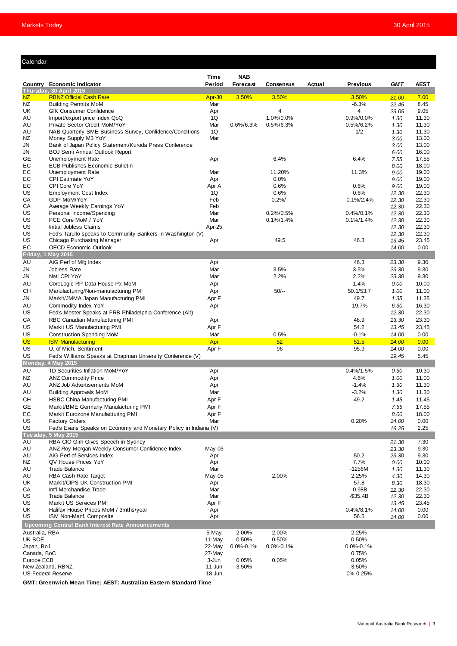#### Calendar

|                           |                                                                                         | Time            | <b>NAB</b>      |                    |        |                  |                |                |
|---------------------------|-----------------------------------------------------------------------------------------|-----------------|-----------------|--------------------|--------|------------------|----------------|----------------|
|                           | Country Economic Indicator                                                              | Period          | Forecast        | <b>Consensus</b>   | Actual | <b>Previous</b>  | <b>GMT</b>     | <b>AEST</b>    |
| NZ                        | Thursday, 30 April 2015<br><b>RBNZ Official Cash Rate</b>                               | Apr-30          | 3.50%           | 3.50%              |        | 3.50%            | 21.00          | 7.00           |
| NZ                        | <b>Building Permits MoM</b>                                                             | Mar             |                 |                    |        | $-6.3%$          | 22.45          | 8.45           |
| UK                        | <b>GfK Consumer Confidence</b>                                                          | Apr             |                 | 4                  |        | 4                | 23.05          | 9.05           |
| AU                        | Import/export price index QoQ                                                           | 1Q              |                 | 1.0%/0.0%          |        | 0.9%/0.0%        | 1.30           | 11.30          |
| AU                        | Private Sector Credit MoM/YoY                                                           | Mar             | $0.6\%/6.3\%$   | $0.5\%/6.3\%$      |        | 0.5%/6.2%        | 1.30           | 11.30          |
| AU<br>NZ                  | NAB Quarterly SME Business Survey, Confidence/Conditions                                | 1Q<br>Mar       |                 |                    |        | 1/2              | 1.30           | 11.30          |
| JN                        | Money Supply M3 YoY<br>Bank of Japan Policy Statement/Kuroda Press Conference           |                 |                 |                    |        |                  | 3.00<br>3.00   | 13.00<br>13.00 |
| JN                        | <b>BOJ Semi Annual Outlook Report</b>                                                   |                 |                 |                    |        |                  | 6.00           | 16.00          |
| GE                        | Unemployment Rate                                                                       | Apr             |                 | 6.4%               |        | 6.4%             | 7.55           | 17.55          |
| EC                        | <b>ECB Publishes Economic Bulletin</b>                                                  |                 |                 |                    |        |                  | 8.00           | 18.00          |
| EC                        | Unemployment Rate                                                                       | Mar             |                 | 11.20%             |        | 11.3%            | 9.00           | 19.00          |
| EС                        | <b>CPI Estimate YoY</b>                                                                 | Apr             |                 | 0.0%               |        |                  | 9.00           | 19.00          |
| EC                        | CPI Core YoY                                                                            | Apr A           |                 | 0.6%               |        | 0.6%<br>0.6%     | 9.00           | 19.00          |
| US<br>CA                  | <b>Employment Cost Index</b><br>GDP MoM/YoY                                             | 1Q<br>Feb       |                 | 0.6%<br>$-0.2%$ -- |        | $-0.1\%/2.4\%$   | 12.30<br>12.30 | 22.30<br>22.30 |
| CA                        | Average Weekly Earnings YoY                                                             | Feb             |                 |                    |        |                  | 12.30          | 22.30          |
| US                        | Personal Income/Spending                                                                | Mar             |                 | $0.2\%/0.5\%$      |        | $0.4\%/0.1\%$    | 12.30          | 22.30          |
| US                        | PCE Core MoM / YoY                                                                      | Mar             |                 | $0.1\%/1.4\%$      |        | $0.1\%/1.4\%$    | 12.30          | 22.30          |
| US                        | Initial Jobless Claims                                                                  | Apr-25          |                 |                    |        |                  | 12.30          | 22.30          |
| US                        | Fed's Tarullo speaks to Community Bankers in Washington (V)                             |                 |                 |                    |        |                  | 12.30          | 22.30          |
| US                        | Chicago Purchasing Manager                                                              | Apr             |                 | 49.5               |        | 46.3             | 13.45          | 23.45          |
| EC                        | <b>OECD Economic Outlook</b><br>Friday, 1 May 2015                                      |                 |                 |                    |        |                  | 14.00          | 0.00           |
| AU                        | AiG Perf of Mfg Index                                                                   | Apr             |                 |                    |        | 46.3             | 23.30          | 9.30           |
| JN                        | Jobless Rate                                                                            | Mar             |                 | 3.5%               |        | 3.5%             | 23.30          | 9.30           |
| JN                        | Natl CPI YoY                                                                            | Mar             |                 | 2.2%               |        | 2.2%             | 23.30          | 9.30           |
| AU                        | CoreLogic RP Data House Px MoM                                                          | Apr             |                 |                    |        | 1.4%             | 0.00           | 10.00          |
| CН                        | Manufacturing/Non-manufacturing PMI                                                     | Apr             |                 | $50/-$             |        | 50.1/53.7        | 1.00           | 11.00          |
| JN                        | Markit/JMMA Japan Manufacturing PMI                                                     | Apr F           |                 |                    |        | 49.7             | 1.35           | 11.35          |
| AU                        | Commodity Index YoY                                                                     | Apr             |                 |                    |        | $-19.7%$         | 6.30           | 16.30          |
| US                        | Fed's Mester Speaks at FRB Philadelphia Conference (Alt)                                |                 |                 |                    |        |                  | 12.30          | 22.30          |
| СA                        | RBC Canadian Manufacturing PMI                                                          | Apr             |                 |                    |        | 48.9             | 13.30          | 23.30          |
| US                        | Markit US Manufacturing PMI                                                             | Apr F           |                 |                    |        | 54.2             | 13.45          | 23.45          |
| US                        | <b>Construction Spending MoM</b>                                                        | Mar             |                 | 0.5%               |        | $-0.1%$          | 14.00          | 0.00           |
| <b>US</b>                 | <b>ISM Manufacturing</b>                                                                | Apr             |                 | 52<br>96           |        | 51.5             | 14.00          | 0.00           |
| US<br>US                  | U. of Mich. Sentiment<br>Fed's Williams Speaks at Chapman University Conference (V)     | Apr F           |                 |                    |        | 95.9             | 14.00<br>19.45 | 0.00<br>5.45   |
|                           | Monday, 4 May 2015                                                                      |                 |                 |                    |        |                  |                |                |
| AU                        | TD Securities Inflation MoM/YoY                                                         | Apr             |                 |                    |        | $0.4\%/1.5\%$    | 0.30           | 10.30          |
| NZ                        | <b>ANZ Commodity Price</b>                                                              | Apr             |                 |                    |        | 4.6%             | 1.00           | 11.00          |
| AU                        | ANZ Job Advertisements MoM                                                              | Apr             |                 |                    |        | $-1.4%$          | 1.30           | 11.30          |
| AU                        | <b>Building Approvals MoM</b>                                                           | Mar             |                 |                    |        | $-3.2%$          | 1.30           | 11.30          |
| CН                        | <b>HSBC China Manufacturing PMI</b>                                                     | Apr F           |                 |                    |        | 49.2             | 1.45           | 11.45          |
| GЕ                        | Markit/BME Germany Manufacturing PMI                                                    | Apr F           |                 |                    |        |                  | 7.55           | 17.55          |
| EC                        | Markit Eurozone Manufacturing PMI                                                       | Apr F           |                 |                    |        |                  | 8.00           | 18.00          |
| US                        | <b>Factory Orders</b>                                                                   | Mar             |                 |                    |        | 0.20%            | 14.00          | 0.00           |
| US                        | Fed's Evans Speaks on Economy and Monetary Policy in Indiana (V)<br>Tuesday, 5 May 2015 |                 |                 |                    |        |                  | 16.25          | 2.25           |
| AU                        | RBA CIO Gim Gives Speech in Sydney                                                      |                 |                 |                    |        |                  | 21.30          | 7.30           |
| AU                        | ANZ Roy Morgan Weekly Consumer Confidence Index                                         | May-03          |                 |                    |        |                  | 23.30          | 9.30           |
| AU                        | AiG Perf of Services Index                                                              | Apr             |                 |                    |        | 50.2             | 23.30          | 9.30           |
| NZ                        | QV House Prices YoY                                                                     | Apr             |                 |                    |        | 7.7%             | 0.00           | 10.00          |
| AU                        | <b>Trade Balance</b>                                                                    | Mar             |                 |                    |        | $-1256M$         | 1.30           | 11.30          |
| AU                        | RBA Cash Rate Target                                                                    | May-05          |                 | 2.00%              |        | 2.25%            | 4.30           | 14.30          |
| UK                        | Markit/CIPS UK Construction PMI<br>Int'l Merchandise Trade                              | Apr<br>Mar      |                 |                    |        | 57.8<br>$-0.98B$ | 8.30           | 18.30          |
| CA<br>US                  | <b>Trade Balance</b>                                                                    | Mar             |                 |                    |        | $-$ \$35.4B      | 12.30<br>12.30 | 22.30<br>22.30 |
| US                        | Markit US Services PMI                                                                  | Apr F           |                 |                    |        |                  | 13.45          | 23.45          |
| UK                        | Halifax House Prices MoM / 3mths/year                                                   | Apr             |                 |                    |        | $0.4\%/8.1\%$    | 14.00          | 0.00           |
| US                        | ISM Non-Manf. Composite                                                                 | Apr             |                 |                    |        | 56.5             | 14.00          | 0.00           |
|                           | <b>Upcoming Central Bank Interest Rate Announcements</b>                                |                 |                 |                    |        |                  |                |                |
| Australia, RBA            |                                                                                         | 5-May           | 2.00%           | 2.00%              |        | 2.25%            |                |                |
| UK BOE                    |                                                                                         | 11-May          | 0.50%           | 0.50%              |        | 0.50%            |                |                |
| Japan, BoJ                |                                                                                         | 22-May          | $0.0\% - 0.1\%$ | $0.0\% - 0.1\%$    |        | 0.0%-0.1%        |                |                |
| Canada, BoC<br>Europe ECB |                                                                                         | 27-May<br>3-Jun | 0.05%           | 0.05%              |        | 0.75%<br>0.05%   |                |                |
|                           | New Zealand, RBNZ                                                                       | 11-Jun          | 3.50%           |                    |        | 3.50%            |                |                |
| <b>US Federal Reserve</b> |                                                                                         |                 |                 |                    |        | 0%-0.25%         |                |                |

**GMT: Greenwich Mean Time; AEST: Australian Eastern Standard Time**